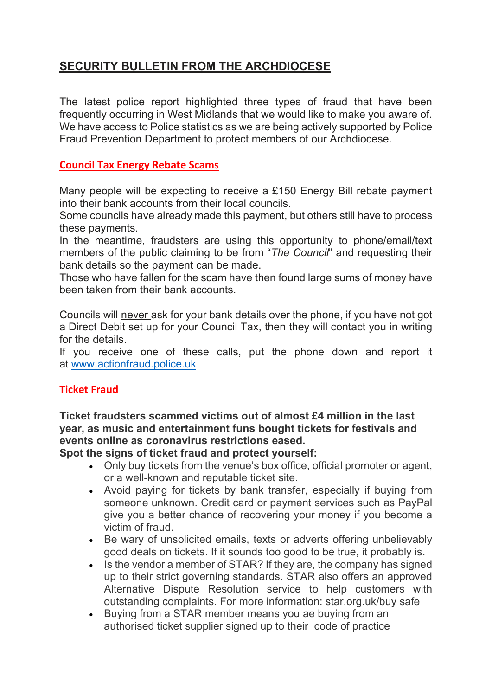## **SECURITY BULLETIN FROM THE ARCHDIOCESE**

The latest police report highlighted three types of fraud that have been frequently occurring in West Midlands that we would like to make you aware of. We have access to Police statistics as we are being actively supported by Police Fraud Prevention Department to protect members of our Archdiocese.

## **Council Tax Energy Rebate Scams**

Many people will be expecting to receive a £150 Energy Bill rebate payment into their bank accounts from their local councils.

Some councils have already made this payment, but others still have to process these payments.

In the meantime, fraudsters are using this opportunity to phone/email/text members of the public claiming to be from "*The Council*" and requesting their bank details so the payment can be made.

Those who have fallen for the scam have then found large sums of money have been taken from their bank accounts.

Councils will never ask for your bank details over the phone, if you have not got a Direct Debit set up for your Council Tax, then they will contact you in writing for the details.

If you receive one of these calls, put the phone down and report it at [www.actionfraud.police.uk](https://gbr01.safelinks.protection.outlook.com/?url=http%3A%2F%2Fwww.actionfraud.police.uk%2F&data=05%7C01%7Cfr.fabian.adindu%40rcaob.org.uk%7C3fc1c3aae345424dd7a808da3f27e219%7Cf594e61c4546432cb248cacae233b935%7C0%7C0%7C637891737793319924%7CUnknown%7CTWFpbGZsb3d8eyJWIjoiMC4wLjAwMDAiLCJQIjoiV2luMzIiLCJBTiI6Ik1haWwiLCJXVCI6Mn0%3D%7C3000%7C%7C%7C&sdata=SdbsSALnD7IcocpTFbnoRe0IeC7AFf8GZUcKewWy1q8%3D&reserved=0)

## **Ticket Fraud**

**Ticket fraudsters scammed victims out of almost £4 million in the last year, as music and entertainment funs bought tickets for festivals and events online as coronavirus restrictions eased.**

**Spot the signs of ticket fraud and protect yourself:**

- Only buy tickets from the venue's box office, official promoter or agent, or a well-known and reputable ticket site.
- Avoid paying for tickets by bank transfer, especially if buying from someone unknown. Credit card or payment services such as PayPal give you a better chance of recovering your money if you become a victim of fraud.
- Be wary of unsolicited emails, texts or adverts offering unbelievably good deals on tickets. If it sounds too good to be true, it probably is.
- Is the vendor a member of STAR? If they are, the company has signed up to their strict governing standards. STAR also offers an approved Alternative Dispute Resolution service to help customers with outstanding complaints. For more information: star.org.uk/buy safe
- Buying from a STAR member means you ae buying from an authorised ticket supplier signed up to their code of practice